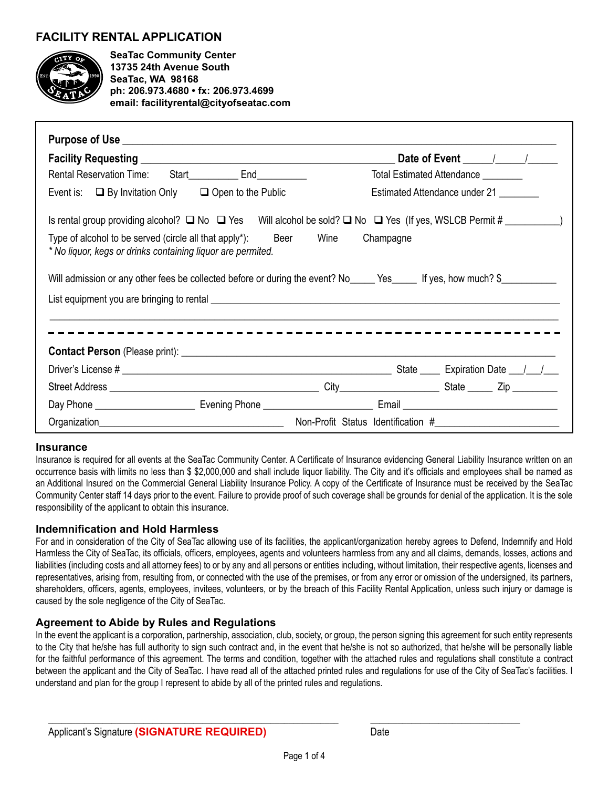# **FACILITY RENTAL APPLICATION**



**SeaTac Community Center 13735 24th Avenue South SeaTac, WA 98168 ph: 206.973.4680 • fx: 206.973.4699 email: facilityrental@cityofseatac.com**

|                                                                                                                                                                                                                                | Rental Reservation Time: Start ______________ End_______________ |                               | Total Estimated Attendance ________ |  |  |  |
|--------------------------------------------------------------------------------------------------------------------------------------------------------------------------------------------------------------------------------|------------------------------------------------------------------|-------------------------------|-------------------------------------|--|--|--|
| Event is: $\Box$ By Invitation Only $\Box$ Open to the Public                                                                                                                                                                  |                                                                  | Estimated Attendance under 21 |                                     |  |  |  |
| Is rental group providing alcohol? $\Box$ No $\Box$ Yes Will alcohol be sold? $\Box$ No $\Box$ Yes (If yes, WSLCB Permit # _____________)                                                                                      |                                                                  |                               |                                     |  |  |  |
| Beer Wine Champagne<br>Type of alcohol to be served (circle all that apply*):<br>* No liquor, kegs or drinks containing liquor are permited.                                                                                   |                                                                  |                               |                                     |  |  |  |
| Will admission or any other fees be collected before or during the event? No_____ Yes_____ If yes, how much? \$________                                                                                                        |                                                                  |                               |                                     |  |  |  |
|                                                                                                                                                                                                                                |                                                                  |                               |                                     |  |  |  |
|                                                                                                                                                                                                                                |                                                                  |                               |                                     |  |  |  |
|                                                                                                                                                                                                                                |                                                                  |                               |                                     |  |  |  |
|                                                                                                                                                                                                                                |                                                                  |                               |                                     |  |  |  |
|                                                                                                                                                                                                                                |                                                                  |                               |                                     |  |  |  |
|                                                                                                                                                                                                                                |                                                                  |                               |                                     |  |  |  |
| Organization experience and the contract of the contract of the contract of the contract of the contract of the contract of the contract of the contract of the contract of the contract of the contract of the contract of th |                                                                  |                               |                                     |  |  |  |

#### **Insurance**

Insurance is required for all events at the SeaTac Community Center. A Certificate of Insurance evidencing General Liability Insurance written on an occurrence basis with limits no less than \$ \$2,000,000 and shall include liquor liability. The City and it's officials and employees shall be named as an Additional Insured on the Commercial General Liability Insurance Policy. A copy of the Certificate of Insurance must be received by the SeaTac Community Center staff 14 days prior to the event. Failure to provide proof of such coverage shall be grounds for denial of the application. It is the sole responsibility of the applicant to obtain this insurance.

## **Indemnification and Hold Harmless**

For and in consideration of the City of SeaTac allowing use of its facilities, the applicant/organization hereby agrees to Defend, Indemnify and Hold Harmless the City of SeaTac, its officials, officers, employees, agents and volunteers harmless from any and all claims, demands, losses, actions and liabilities (including costs and all attorney fees) to or by any and all persons or entities including, without limitation, their respective agents, licenses and representatives, arising from, resulting from, or connected with the use of the premises, or from any error or omission of the undersigned, its partners, shareholders, officers, agents, employees, invitees, volunteers, or by the breach of this Facility Rental Application, unless such injury or damage is caused by the sole negligence of the City of SeaTac.

## **Agreement to Abide by Rules and Regulations**

In the event the applicant is a corporation, partnership, association, club, society, or group, the person signing this agreement for such entity represents to the City that he/she has full authority to sign such contract and, in the event that he/she is not so authorized, that he/she will be personally liable for the faithful performance of this agreement. The terms and condition, together with the attached rules and regulations shall constitute a contract between the applicant and the City of SeaTac. I have read all of the attached printed rules and regulations for use of the City of SeaTac's facilities. I understand and plan for the group I represent to abide by all of the printed rules and regulations.

 $\_$  , and the set of the set of the set of the set of the set of the set of the set of the set of the set of the set of the set of the set of the set of the set of the set of the set of the set of the set of the set of th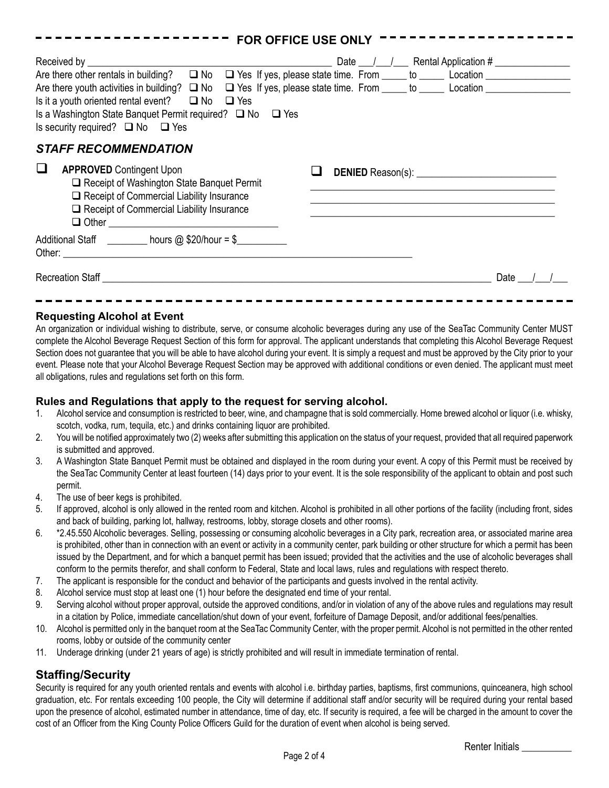| -------                                                                                                                                                                                                                                                                                                                                                                                                               | <b>FOR OFFICE USE ONLY</b> |
|-----------------------------------------------------------------------------------------------------------------------------------------------------------------------------------------------------------------------------------------------------------------------------------------------------------------------------------------------------------------------------------------------------------------------|----------------------------|
| Are there other rentals in building?  □ No □ Yes If yes, please state time. From ____ to ____ Location _____________<br>Are there youth activities in building? ■ No ■ Yes If yes, please state time. From ____ to ____ Location ____________<br>Is it a youth oriented rental event? $\Box$ No $\Box$ Yes<br>Is a Washington State Banquet Permit required? □ No □ Yes<br>Is security required? $\Box$ No $\Box$ Yes |                            |
| <b>STAFF RECOMMENDATION</b><br><b>APPROVED</b> Contingent Upon<br>ப<br>Receipt of Washington State Banquet Permit<br>Receipt of Commercial Liability Insurance<br>Receipt of Commercial Liability Insurance                                                                                                                                                                                                           |                            |
| Additional Staff _________ hours @ \$20/hour = \$_________<br>Recreation Staff <u>Necreation</u> Staff Necreation Staff Necreation Staff Necreation Staff Necreation Staff Necreation Staff Necreation Staff Necreation Staff Necreation Staff Necreation Staff Necreation Staff Necreation Staff                                                                                                                     | Date                       |
|                                                                                                                                                                                                                                                                                                                                                                                                                       |                            |

## **Requesting Alcohol at Event**

An organization or individual wishing to distribute, serve, or consume alcoholic beverages during any use of the SeaTac Community Center MUST complete the Alcohol Beverage Request Section of this form for approval. The applicant understands that completing this Alcohol Beverage Request Section does not quarantee that you will be able to have alcohol during your event. It is simply a request and must be approved by the City prior to your event. Please note that your Alcohol Beverage Request Section may be approved with additional conditions or even denied. The applicant must meet all obligations, rules and regulations set forth on this form.

## **Rules and Regulations that apply to the request for serving alcohol.**

- 1. Alcohol service and consumption is restricted to beer, wine, and champagne that is sold commercially. Home brewed alcohol or liquor (i.e. whisky, scotch, vodka, rum, tequila, etc.) and drinks containing liquor are prohibited.
- 2. You will be notified approximately two (2) weeks after submitting this application on the status of your request, provided that all required paperwork is submitted and approved.
- 3. A Washington State Banquet Permit must be obtained and displayed in the room during your event. A copy of this Permit must be received by the SeaTac Community Center at least fourteen (14) days prior to your event. It is the sole responsibility of the applicant to obtain and post such permit.
- 4. The use of beer kegs is prohibited.
- 5. If approved, alcohol is only allowed in the rented room and kitchen. Alcohol is prohibited in all other portions of the facility (including front, sides and back of building, parking lot, hallway, restrooms, lobby, storage closets and other rooms).
- 6. \*2.45.550 Alcoholic beverages. Selling, possessing or consuming alcoholic beverages in a City park, recreation area, or associated marine area is prohibited, other than in connection with an event or activity in a community center, park building or other structure for which a permit has been issued by the Department, and for which a banquet permit has been issued; provided that the activities and the use of alcoholic beverages shall conform to the permits therefor, and shall conform to Federal, State and local laws, rules and regulations with respect thereto.
- 7. The applicant is responsible for the conduct and behavior of the participants and guests involved in the rental activity.
- 8. Alcohol service must stop at least one (1) hour before the designated end time of your rental.
- 9. Serving alcohol without proper approval, outside the approved conditions, and/or in violation of any of the above rules and regulations may result in a citation by Police, immediate cancellation/shut down of your event, forfeiture of Damage Deposit, and/or additional fees/penalties.
- 10. Alcohol is permitted only in the banquet room at the SeaTac Community Center, with the proper permit. Alcohol is not permitted in the other rented rooms, lobby or outside of the community center
- 11. Underage drinking (under 21 years of age) is strictly prohibited and will result in immediate termination of rental.

## **Staffing/Security**

Security is required for any youth oriented rentals and events with alcohol i.e. birthday parties, baptisms, first communions, quinceanera, high school graduation, etc. For rentals exceeding 100 people, the City will determine if additional staff and/or security will be required during your rental based upon the presence of alcohol, estimated number in attendance, time of day, etc. If security is required, a fee will be charged in the amount to cover the cost of an Officer from the King County Police Officers Guild for the duration of event when alcohol is being served.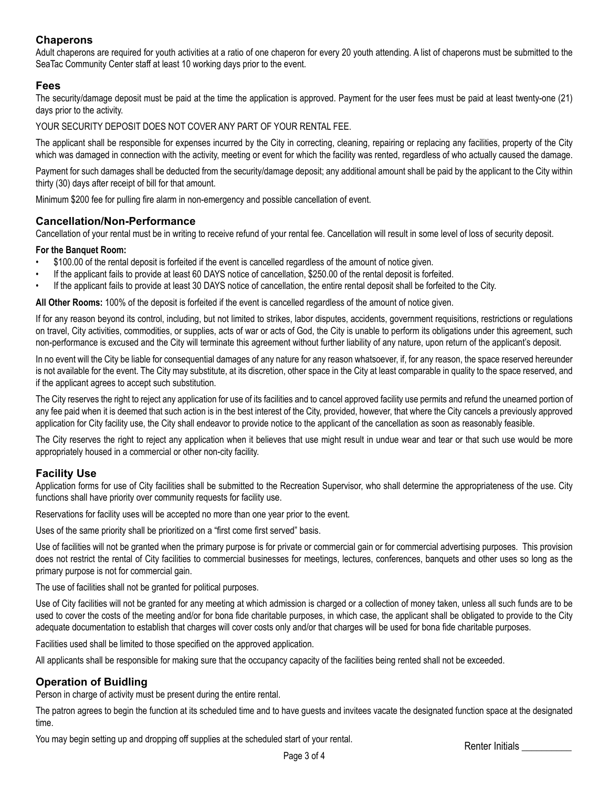## **Chaperons**

Adult chaperons are required for youth activities at a ratio of one chaperon for every 20 youth attending. A list of chaperons must be submitted to the SeaTac Community Center staff at least 10 working days prior to the event.

## **Fees**

The security/damage deposit must be paid at the time the application is approved. Payment for the user fees must be paid at least twenty-one (21) days prior to the activity.

YOUR SECURITY DEPOSIT DOES NOT COVER ANY PART OF YOUR RENTAL FEE.

The applicant shall be responsible for expenses incurred by the City in correcting, cleaning, repairing or replacing any facilities, property of the City which was damaged in connection with the activity, meeting or event for which the facility was rented, regardless of who actually caused the damage.

Payment for such damages shall be deducted from the security/damage deposit; any additional amount shall be paid by the applicant to the City within thirty (30) days after receipt of bill for that amount.

Minimum \$200 fee for pulling fire alarm in non-emergency and possible cancellation of event.

## **Cancellation/Non-Performance**

Cancellation of your rental must be in writing to receive refund of your rental fee. Cancellation will result in some level of loss of security deposit.

#### **For the Banquet Room:**

- \$100.00 of the rental deposit is forfeited if the event is cancelled regardless of the amount of notice given.
- If the applicant fails to provide at least 60 DAYS notice of cancellation, \$250.00 of the rental deposit is forfeited.
- If the applicant fails to provide at least 30 DAYS notice of cancellation, the entire rental deposit shall be forfeited to the City.

**All Other Rooms:** 100% of the deposit is forfeited if the event is cancelled regardless of the amount of notice given.

If for any reason beyond its control, including, but not limited to strikes, labor disputes, accidents, government requisitions, restrictions or regulations on travel, City activities, commodities, or supplies, acts of war or acts of God, the City is unable to perform its obligations under this agreement, such non-performance is excused and the City will terminate this agreement without further liability of any nature, upon return of the applicant's deposit.

In no event will the City be liable for consequential damages of any nature for any reason whatsoever, if, for any reason, the space reserved hereunder is not available for the event. The City may substitute, at its discretion, other space in the City at least comparable in quality to the space reserved, and if the applicant agrees to accept such substitution.

The City reserves the right to reject any application for use of its facilities and to cancel approved facility use permits and refund the unearned portion of any fee paid when it is deemed that such action is in the best interest of the City, provided, however, that where the City cancels a previously approved application for City facility use, the City shall endeavor to provide notice to the applicant of the cancellation as soon as reasonably feasible.

The City reserves the right to reject any application when it believes that use might result in undue wear and tear or that such use would be more appropriately housed in a commercial or other non-city facility.

## **Facility Use**

Application forms for use of City facilities shall be submitted to the Recreation Supervisor, who shall determine the appropriateness of the use. City functions shall have priority over community requests for facility use.

Reservations for facility uses will be accepted no more than one year prior to the event.

Uses of the same priority shall be prioritized on a "first come first served" basis.

Use of facilities will not be granted when the primary purpose is for private or commercial gain or for commercial advertising purposes. This provision does not restrict the rental of City facilities to commercial businesses for meetings, lectures, conferences, banquets and other uses so long as the primary purpose is not for commercial gain.

The use of facilities shall not be granted for political purposes.

Use of City facilities will not be granted for any meeting at which admission is charged or a collection of money taken, unless all such funds are to be used to cover the costs of the meeting and/or for bona fide charitable purposes, in which case, the applicant shall be obligated to provide to the City adequate documentation to establish that charges will cover costs only and/or that charges will be used for bona fide charitable purposes.

Facilities used shall be limited to those specified on the approved application.

All applicants shall be responsible for making sure that the occupancy capacity of the facilities being rented shall not be exceeded.

## **Operation of Buidling**

Person in charge of activity must be present during the entire rental.

The patron agrees to begin the function at its scheduled time and to have guests and invitees vacate the designated function space at the designated time.

You may begin setting up and dropping off supplies at the scheduled start of your rental. Renter Initials Renter Initials